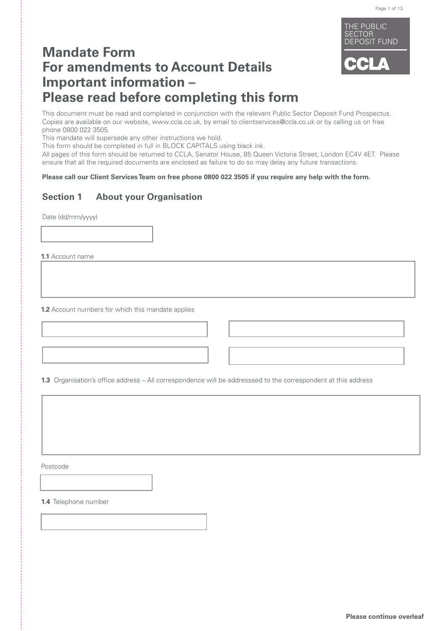

# **Mandate Form For amendments to Account Details Important information – Please read before completing this form**

This document must be read and completed in conjunction with the relevant Public Sector Deposit Fund Prospectus. Copies are available on our website, www.ccla.co.uk, by email to clientservices@ccla.co.uk or by calling us on free phone 0800 022 3505.

This mandate will supersede any other instructions we hold.

This form should be completed in full in BLOCK CAPITALS using black ink.

All pages of this form should be returned to CCLA, Senator House, 85 Queen Victoria Street, London EC4V 4ET. Please ensure that all the required documents are enclosed as failure to do so may delay any future transactions.

**Please call our Client Services Team on free phone 0800 022 3505 if you require any help with the form.**

## **Section 1 About your Organisation**

Date (dd/mm/yyyy)

**1.1** Account name

**1.2** Account numbers for which this mandate applies

**1.3** Organisation's office address – All correspondence will be addresssed to the correspondent at this address

Postcode

**1.4** Telephone number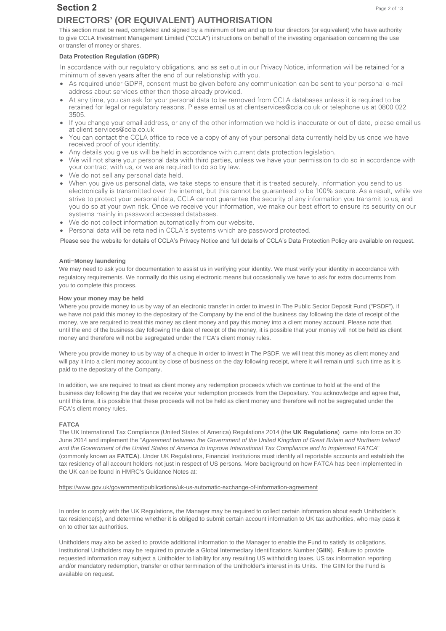## **Section 2**

# **DIRECTORS' (OR EQUIVALENT) AUTHORISATION**

This section must be read, completed and signed by a minimum of two and up to four directors (or equivalent) who have authority to give CCLA Investment Management Limited ("CCLA") instructions on behalf of the investing organisation concerning the use or transfer of money or shares.

## **Data Protection Regulation (GDPR)**

In accordance with our regulatory obligations, and as set out in our Privacy Notice, information will be retained for a minimum of seven years after the end of our relationship with you.

- As required under GDPR, consent must be given before any communication can be sent to your personal e-mail address about services other than those already provided.
- At any time, you can ask for your personal data to be removed from CCLA databases unless it is required to be retained for legal or regulatory reasons. Please email us at clientservices@ccla.co.uk or telephone us at 0800 022 3505.
- If you change your email address, or any of the other information we hold is inaccurate or out of date, please email us at client services@ccla.co.uk
- You can contact the CCLA office to receive a copy of any of your personal data currently held by us once we have received proof of your identity.
- Any details you give us will be held in accordance with current data protection legislation.
- We will not share your personal data with third parties, unless we have your permission to do so in accordance with your contract with us, or we are required to do so by law.
- We do not sell any personal data held.
- When you give us personal data, we take steps to ensure that it is treated securely. Information you send to us electronically is transmitted over the internet, but this cannot be guaranteed to be 100% secure. As a result, while we strive to protect your personal data, CCLA cannot guarantee the security of any information you transmit to us, and you do so at your own risk. Once we receive your information, we make our best effort to ensure its security on our systems mainly in password accessed databases.
- We do not collect information automatically from our website.
- Personal data will be retained in CCLA's systems which are password protected.

Please see the website for details of CCLA's Privacy Notice and full details of CCLA's Data Protection Policy are available on request.

## **Anti−Money laundering**

We may need to ask you for documentation to assist us in verifying your identity. We must verify your identity in accordance with regulatory requirements. We normally do this using electronic means but occasionally we have to ask for extra documents from you to complete this process.

## **How your money may be held**

Where you provide money to us by way of an electronic transfer in order to invest in The Public Sector Deposit Fund ("PSDF"), if we have not paid this money to the depositary of the Company by the end of the business day following the date of receipt of the money, we are required to treat this money as client money and pay this money into a client money account. Please note that, until the end of the business day following the date of receipt of the money, it is possible that your money will not be held as client money and therefore will not be segregated under the FCA's client money rules.

Where you provide money to us by way of a cheque in order to invest in The PSDF, we will treat this money as client money and will pay it into a client money account by close of business on the day following receipt, where it will remain until such time as it is paid to the depositary of the Company.

In addition, we are required to treat as client money any redemption proceeds which we continue to hold at the end of the business day following the day that we receive your redemption proceeds from the Depositary. You acknowledge and agree that, until this time, it is possible that these proceeds will not be held as client money and therefore will not be segregated under the FCA's client money rules.

### **FATCA**

The UK International Tax Compliance (United States of America) Regulations 2014 (the **UK Regulations**) came into force on 30 June 2014 and implement the "Agreement between the Government of the United Kingdom of Great Britain and Northern Ireland and the Government of the United States of America to Improve International Tax Compliance and to Implement FATCA" (commonly known as **FATCA**). Under UK Regulations, Financial Institutions must identify all reportable accounts and establish the tax residency of all account holders not just in respect of US persons. More background on how FATCA has been implemented in the UK can be found in HMRC's Guidance Notes at:

https://www.gov.uk/government/publications/uk-us-automatic-exchange-of-information-agreement

In order to comply with the UK Regulations, the Manager may be required to collect certain information about each Unitholder's tax residence(s), and determine whether it is obliged to submit certain account information to UK tax authorities, who may pass it on to other tax authorities.

Unitholders may also be asked to provide additional information to the Manager to enable the Fund to satisfy its obligations. Institutional Unitholders may be required to provide a Global Intermediary Identifications Number (**GIIN**). Failure to provide requested information may subject a Unitholder to liability for any resulting US withholding taxes, US tax information reporting and/or mandatory redemption, transfer or other termination of the Unitholder's interest in its Units. The GIIN for the Fund is available on request.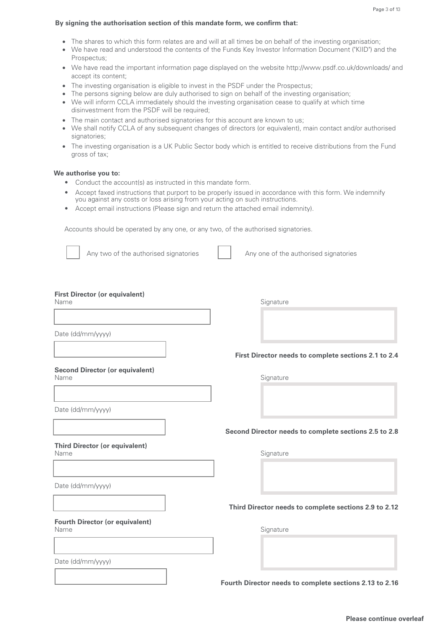## **By signing the authorisation section of this mandate form, we confirm that:**

- The shares to which this form relates are and will at all times be on behalf of the investing organisation;
- We have read and understood the contents of the Funds Key Investor Information Document ("KIID") and the Prospectus;
- We have read the important information page displayed on the website http://www.psdf.co.uk/downloads/ and accept its content;
- The investing organisation is eligible to invest in the PSDF under the Prospectus;
- The persons signing below are duly authorised to sign on behalf of the investing organisation;
- We will inform CCLA immediately should the investing organisation cease to qualify at which time disinvestment from the PSDF will be required;
- The main contact and authorised signatories for this account are known to us:
- We shall notify CCLA of any subsequent changes of directors (or equivalent), main contact and/or authorised signatories;
- The investing organisation is a UK Public Sector body which is entitled to receive distributions from the Fund gross of tax;

#### **We authorise you to:**

- Conduct the account(s) as instructed in this mandate form.
- Accept faxed instructions that purport to be properly issued in accordance with this form. We indemnify you against any costs or loss arising from your acting on such instructions.
- Accept email instructions (Please sign and return the attached email indemnity).

Accounts should be operated by any one, or any two, of the authorised signatories.

Any two of the authorised signatories Any one of the authorised signatories

#### **First Director (or equivalent)**

Date (dd/mm/yyyy)

**Second Director (or equivalent)** 

Name Signature

**First Director needs to complete sections 2.1 to 2.4**

Name Signature Signature

Date (dd/mm/yyyy)

## **Third Director (or equivalent)**

**Fourth Director (or equivalent)** 

Date (dd/mm/yyyy)

**Second Director needs to complete sections 2.5 to 2.8**

Name Signature Signature

**Third Director needs to complete sections 2.9 to 2.12**

Name Signature

Date (dd/mm/yyyy)

**Fourth Director needs to complete sections 2.13 to 2.16**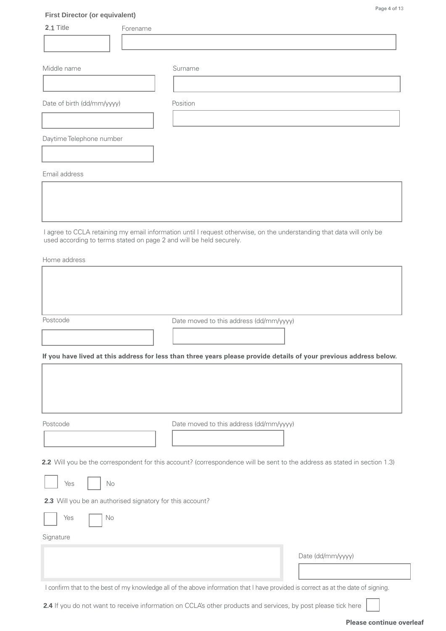| <b>First Director (or equivalent)</b>                     | Page 4 of 13                                                                                                              |
|-----------------------------------------------------------|---------------------------------------------------------------------------------------------------------------------------|
| 2.1 Title<br>Forename                                     |                                                                                                                           |
|                                                           |                                                                                                                           |
| Middle name                                               | Surname                                                                                                                   |
|                                                           |                                                                                                                           |
| Date of birth (dd/mm/yyyy)                                | Position                                                                                                                  |
|                                                           |                                                                                                                           |
| Daytime Telephone number                                  |                                                                                                                           |
|                                                           |                                                                                                                           |
| Email address                                             |                                                                                                                           |
|                                                           |                                                                                                                           |
|                                                           |                                                                                                                           |
| Home address<br>Postcode                                  |                                                                                                                           |
|                                                           | Date moved to this address (dd/mm/yyyy)                                                                                   |
|                                                           | If you have lived at this address for less than three years please provide details of your previous address below.        |
|                                                           |                                                                                                                           |
| Postcode                                                  | Date moved to this address (dd/mm/yyyy)                                                                                   |
|                                                           |                                                                                                                           |
|                                                           | 2.2 Will you be the correspondent for this account? (correspondence will be sent to the address as stated in section 1.3) |
| Yes<br>No                                                 |                                                                                                                           |
| 2.3 Will you be an authorised signatory for this account? |                                                                                                                           |
| Yes<br>No                                                 |                                                                                                                           |
| Signature                                                 |                                                                                                                           |

Date (dd/mm/yyyy)

I confirm that to the best of my knowledge all of the above information that I have provided is correct as at the date of signing.

**2.4** If you do not want to receive information on CCLA's other products and services, by post please tick here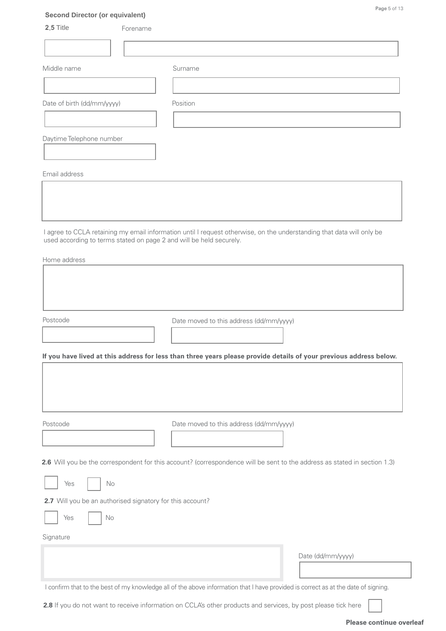| <b>Second Director (or equivalent)</b> |                                                                     | Page 5 of 13                                                                                                          |
|----------------------------------------|---------------------------------------------------------------------|-----------------------------------------------------------------------------------------------------------------------|
| 2.5 Title                              | Forename                                                            |                                                                                                                       |
|                                        |                                                                     |                                                                                                                       |
| Middle name                            | Surname                                                             |                                                                                                                       |
|                                        |                                                                     |                                                                                                                       |
| Date of birth (dd/mm/yyyy)             | Position                                                            |                                                                                                                       |
|                                        |                                                                     |                                                                                                                       |
| Daytime Telephone number               |                                                                     |                                                                                                                       |
| Email address                          |                                                                     |                                                                                                                       |
|                                        |                                                                     |                                                                                                                       |
|                                        | used according to terms stated on page 2 and will be held securely. | I agree to CCLA retaining my email information until I request otherwise, on the understanding that data will only be |
| Home address                           |                                                                     |                                                                                                                       |
|                                        |                                                                     |                                                                                                                       |
|                                        |                                                                     |                                                                                                                       |
|                                        |                                                                     |                                                                                                                       |

Postcode **Date moved to this address (dd/mm/yyyy)** 

**If you have lived at this address for less than three years please provide details of your previous address below.**

Postcode Date moved to this address (dd/mm/yyyy)

**2.6** Will you be the correspondent for this account? (correspondence will be sent to the address as stated in section 1.3)

| Yes |  | No |
|-----|--|----|
|-----|--|----|

**2.7** Will you be an authorised signatory for this account?

| <b>Yes</b> | $N_{\Omega}$ |
|------------|--------------|
|------------|--------------|

Signature

Date (dd/mm/yyyy)

I confirm that to the best of my knowledge all of the above information that I have provided is correct as at the date of signing.

**2.8** If you do not want to receive information on CCLA's other products and services, by post please tick here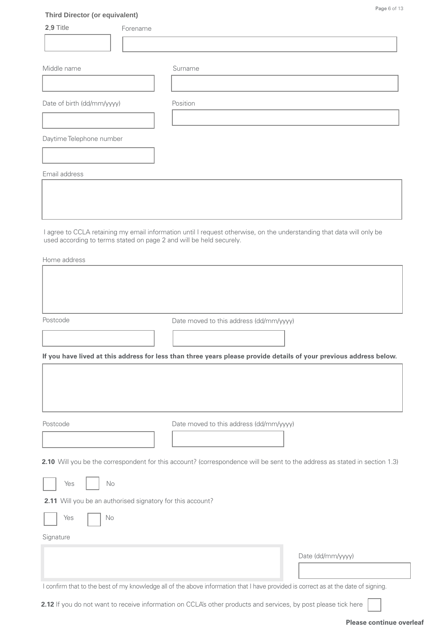| <b>Third Director (or equivalent)</b>                      |          | Page 6 of 13                                                                                                                                                                                 |
|------------------------------------------------------------|----------|----------------------------------------------------------------------------------------------------------------------------------------------------------------------------------------------|
| 2.9 Title                                                  | Forename |                                                                                                                                                                                              |
|                                                            |          |                                                                                                                                                                                              |
| Middle name                                                |          | Surname                                                                                                                                                                                      |
|                                                            |          |                                                                                                                                                                                              |
| Date of birth (dd/mm/yyyy)                                 |          | Position                                                                                                                                                                                     |
|                                                            |          |                                                                                                                                                                                              |
| Daytime Telephone number                                   |          |                                                                                                                                                                                              |
|                                                            |          |                                                                                                                                                                                              |
| Email address                                              |          |                                                                                                                                                                                              |
|                                                            |          |                                                                                                                                                                                              |
|                                                            |          |                                                                                                                                                                                              |
|                                                            |          |                                                                                                                                                                                              |
|                                                            |          | I agree to CCLA retaining my email information until I request otherwise, on the understanding that data will only be<br>used according to terms stated on page 2 and will be held securely. |
| Home address                                               |          |                                                                                                                                                                                              |
|                                                            |          |                                                                                                                                                                                              |
|                                                            |          |                                                                                                                                                                                              |
|                                                            |          |                                                                                                                                                                                              |
| Postcode                                                   |          | Date moved to this address (dd/mm/yyyy)                                                                                                                                                      |
|                                                            |          |                                                                                                                                                                                              |
|                                                            |          | If you have lived at this address for less than three years please provide details of your previous address below.                                                                           |
|                                                            |          |                                                                                                                                                                                              |
|                                                            |          |                                                                                                                                                                                              |
|                                                            |          |                                                                                                                                                                                              |
| Postcode                                                   |          | Date moved to this address (dd/mm/yyyy)                                                                                                                                                      |
|                                                            |          |                                                                                                                                                                                              |
|                                                            |          | 2.10 Will you be the correspondent for this account? (correspondence will be sent to the address as stated in section 1.3)                                                                   |
|                                                            |          |                                                                                                                                                                                              |
| $\rm No$<br>Yes                                            |          |                                                                                                                                                                                              |
| 2.11 Will you be an authorised signatory for this account? |          |                                                                                                                                                                                              |
| Yes<br>No                                                  |          |                                                                                                                                                                                              |

Date (dd/mm/yyyy)

I confirm that to the best of my knowledge all of the above information that I have provided is correct as at the date of signing.

**2.12** If you do not want to receive information on CCLA's other products and services, by post please tick here

Signature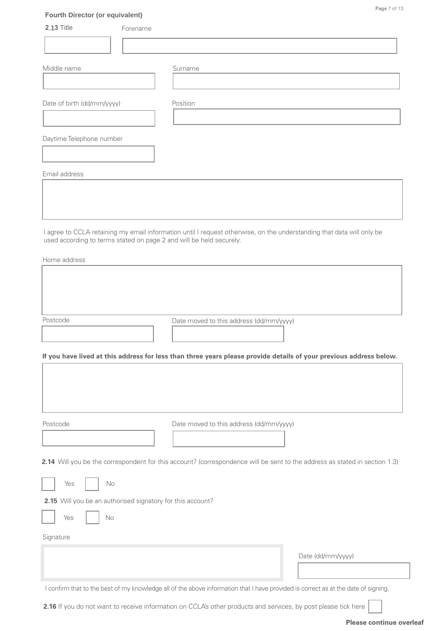| <b>Fourth Director (or equivalent)</b><br><b>2.13 Title</b> | Forename                                                                                                                   |
|-------------------------------------------------------------|----------------------------------------------------------------------------------------------------------------------------|
|                                                             |                                                                                                                            |
|                                                             |                                                                                                                            |
| Middle name                                                 | Surname                                                                                                                    |
|                                                             |                                                                                                                            |
|                                                             |                                                                                                                            |
| Date of birth (dd/mm/yyyy)                                  | Position                                                                                                                   |
|                                                             |                                                                                                                            |
| Daytime Telephone number                                    |                                                                                                                            |
|                                                             |                                                                                                                            |
|                                                             |                                                                                                                            |
| Email address                                               |                                                                                                                            |
|                                                             |                                                                                                                            |
|                                                             |                                                                                                                            |
|                                                             |                                                                                                                            |
|                                                             | I agree to CCLA retaining my email information until I request otherwise, on the understanding that data will only be      |
|                                                             | used according to terms stated on page 2 and will be held securely.                                                        |
| Home address                                                |                                                                                                                            |
|                                                             |                                                                                                                            |
|                                                             |                                                                                                                            |
|                                                             |                                                                                                                            |
|                                                             |                                                                                                                            |
| Postcode                                                    | Date moved to this address (dd/mm/yyyy)                                                                                    |
|                                                             |                                                                                                                            |
|                                                             | If you have lived at this address for less than three years please provide details of your previous address below.         |
|                                                             |                                                                                                                            |
|                                                             |                                                                                                                            |
|                                                             |                                                                                                                            |
|                                                             |                                                                                                                            |
| Postcode                                                    | Date moved to this address (dd/mm/yyyy)                                                                                    |
|                                                             |                                                                                                                            |
|                                                             |                                                                                                                            |
|                                                             | 2.14 Will you be the correspondent for this account? (correspondence will be sent to the address as stated in section 1.3) |
|                                                             |                                                                                                                            |
| Yes                                                         | No                                                                                                                         |
|                                                             | 2.15 Will you be an authorised signatory for this account?                                                                 |
| Yes                                                         | No                                                                                                                         |
|                                                             |                                                                                                                            |
| Signature                                                   |                                                                                                                            |

I confirm that to the best of my knowledge all of the above information that I have provided is correct as at the date of signing.

2.16 If you do not want to receive information on CCLA's other products and services, by post please tick here

Date (dd/mm/yyyy)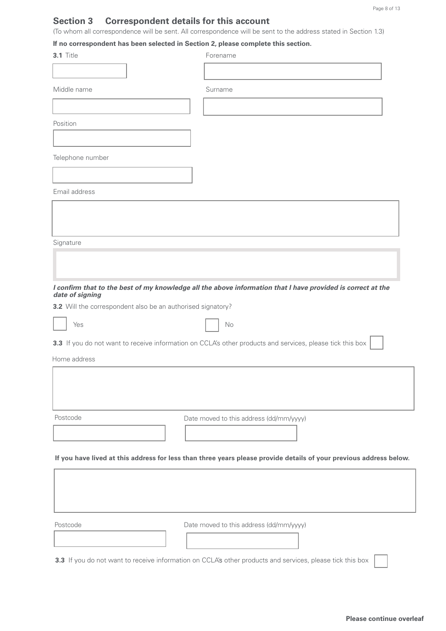# **Section 3 Correspondent details for this account**

(To whom all correspondence will be sent. All correspondence will be sent to the address stated in Section 1.3)

## **If no correspondent has been selected in Section 2, please complete this section.**

| 3.1 Title                                                   | Forename                                                                                                           |
|-------------------------------------------------------------|--------------------------------------------------------------------------------------------------------------------|
|                                                             |                                                                                                                    |
| Middle name                                                 | Surname                                                                                                            |
|                                                             |                                                                                                                    |
| Position                                                    |                                                                                                                    |
|                                                             |                                                                                                                    |
| Telephone number                                            |                                                                                                                    |
|                                                             |                                                                                                                    |
| Email address                                               |                                                                                                                    |
|                                                             |                                                                                                                    |
|                                                             |                                                                                                                    |
| Signature                                                   |                                                                                                                    |
|                                                             |                                                                                                                    |
|                                                             |                                                                                                                    |
|                                                             | I confirm that to the best of my knowledge all the above information that I have provided is correct at the        |
| date of signing                                             |                                                                                                                    |
| 3.2 Will the correspondent also be an authorised signatory? |                                                                                                                    |
| Yes                                                         | No                                                                                                                 |
|                                                             | 3.3 If you do not want to receive information on CCLA's other products and services, please tick this box          |
| Home address                                                |                                                                                                                    |
|                                                             |                                                                                                                    |
|                                                             |                                                                                                                    |
|                                                             |                                                                                                                    |
| Postcode                                                    | Date moved to this address (dd/mm/yyyy)                                                                            |
|                                                             |                                                                                                                    |
|                                                             | If you have lived at this address for less than three years please provide details of your previous address below. |
|                                                             |                                                                                                                    |
|                                                             |                                                                                                                    |
|                                                             |                                                                                                                    |
| Postcode                                                    | Date moved to this address (dd/mm/yyyy)                                                                            |
|                                                             |                                                                                                                    |
|                                                             |                                                                                                                    |
|                                                             | 3.3 If you do not want to receive information on CCLA's other products and services, please tick this box          |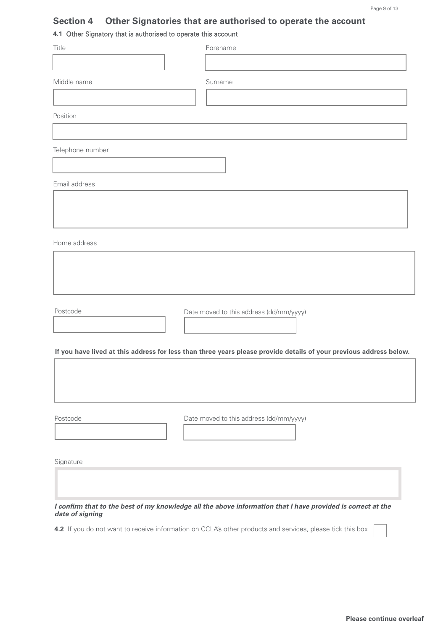# **Section 4 Other Signatories that are authorised to operate the account**

# **4.1** Other Signatory that is authorised to operate this account

| Title            | Forename                                                                                                           |
|------------------|--------------------------------------------------------------------------------------------------------------------|
|                  |                                                                                                                    |
| Middle name      | Surname                                                                                                            |
|                  |                                                                                                                    |
| Position         |                                                                                                                    |
|                  |                                                                                                                    |
| Telephone number |                                                                                                                    |
|                  |                                                                                                                    |
| Email address    |                                                                                                                    |
|                  |                                                                                                                    |
|                  |                                                                                                                    |
| Home address     |                                                                                                                    |
|                  |                                                                                                                    |
|                  |                                                                                                                    |
|                  |                                                                                                                    |
| Postcode         | Date moved to this address (dd/mm/yyyy)                                                                            |
|                  |                                                                                                                    |
|                  | If you have lived at this address for less than three years please provide details of your previous address below. |
|                  |                                                                                                                    |
|                  |                                                                                                                    |
|                  |                                                                                                                    |
| Postcode         | Date moved to this address (dd/mm/yyyy)                                                                            |
|                  |                                                                                                                    |
|                  |                                                                                                                    |
| Signature        |                                                                                                                    |
|                  |                                                                                                                    |
| date of signing  | I confirm that to the best of my knowledge all the above information that I have provided is correct at the        |
|                  | 4.2 If you do not want to receive information on CCLA's other products and services, please tick this box          |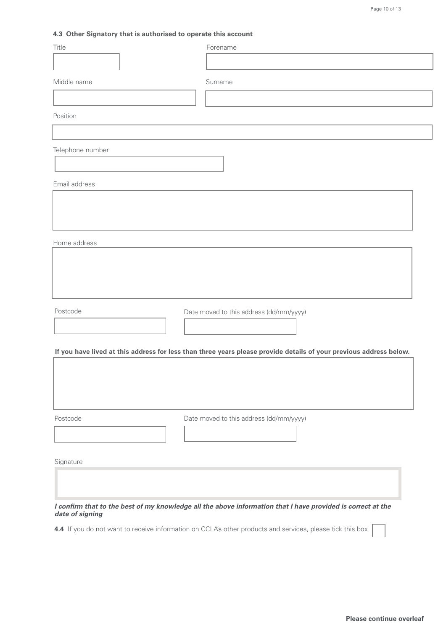## **4.3 Other Signatory that is authorised to operate this account**

| Title            | Forename                                                                                                           |
|------------------|--------------------------------------------------------------------------------------------------------------------|
|                  |                                                                                                                    |
| Middle name      | Surname                                                                                                            |
|                  |                                                                                                                    |
| Position         |                                                                                                                    |
|                  |                                                                                                                    |
| Telephone number |                                                                                                                    |
|                  |                                                                                                                    |
| Email address    |                                                                                                                    |
|                  |                                                                                                                    |
|                  |                                                                                                                    |
|                  |                                                                                                                    |
| Home address     |                                                                                                                    |
|                  |                                                                                                                    |
|                  |                                                                                                                    |
|                  |                                                                                                                    |
| Postcode         | Date moved to this address (dd/mm/yyyy)                                                                            |
|                  |                                                                                                                    |
|                  |                                                                                                                    |
|                  | If you have lived at this address for less than three years please provide details of your previous address below. |
|                  |                                                                                                                    |
|                  |                                                                                                                    |
|                  |                                                                                                                    |
| Postcode         | Date moved to this address (dd/mm/yyyy)                                                                            |
|                  |                                                                                                                    |
| Signature        |                                                                                                                    |
|                  |                                                                                                                    |
|                  |                                                                                                                    |
|                  | I confirm that to the best of my knowledge all the above information that I have provided is correct at the        |
| date of signing  | 4.4 If you do not want to receive information on CCLA's other products and services, please tick this box          |
|                  |                                                                                                                    |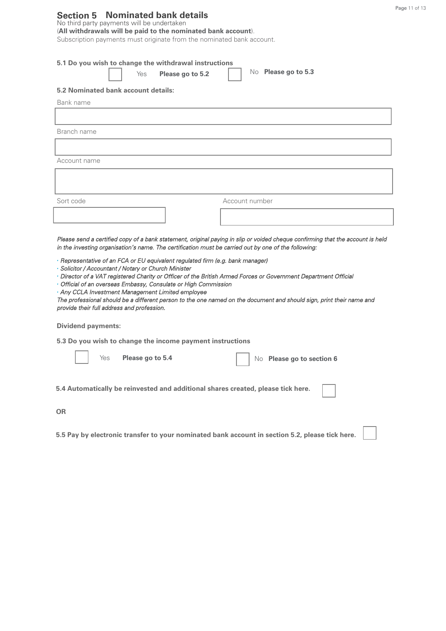## **Section 5 Nominated bank details**

#### No third party payments will be undertaken (**All withdrawals will be paid to the nominated bank account**).

Subscription payments must originate from the nominated bank account.

|                                                                         | 5.1 Do you wish to change the withdrawal instructions<br>Please go to 5.2<br>Yes                                                                                             | No Please go to 5.3                                                                                                                                                                                                                   |
|-------------------------------------------------------------------------|------------------------------------------------------------------------------------------------------------------------------------------------------------------------------|---------------------------------------------------------------------------------------------------------------------------------------------------------------------------------------------------------------------------------------|
| 5.2 Nominated bank account details:                                     |                                                                                                                                                                              |                                                                                                                                                                                                                                       |
| Bank name                                                               |                                                                                                                                                                              |                                                                                                                                                                                                                                       |
|                                                                         |                                                                                                                                                                              |                                                                                                                                                                                                                                       |
| Branch name                                                             |                                                                                                                                                                              |                                                                                                                                                                                                                                       |
|                                                                         |                                                                                                                                                                              |                                                                                                                                                                                                                                       |
| Account name                                                            |                                                                                                                                                                              |                                                                                                                                                                                                                                       |
|                                                                         |                                                                                                                                                                              |                                                                                                                                                                                                                                       |
|                                                                         |                                                                                                                                                                              |                                                                                                                                                                                                                                       |
| Sort code                                                               |                                                                                                                                                                              | Account number                                                                                                                                                                                                                        |
|                                                                         |                                                                                                                                                                              |                                                                                                                                                                                                                                       |
|                                                                         | · Representative of an FCA or EU equivalent regulated firm (e.g. bank manager)                                                                                               | in the investing organisation's name. The certification must be carried out by one of the following:                                                                                                                                  |
| provide their full address and profession.<br><b>Dividend payments:</b> | · Solicitor / Accountant / Notary or Church Minister<br>• Official of an overseas Embassy, Consulate or High Commission<br>. Any CCLA Investment Management Limited employee | Director of a VAT registered Charity or Officer of the British Armed Forces or Government Department Official<br>The professional should be a different person to the one named on the document and should sign, print their name and |
|                                                                         | 5.3 Do you wish to change the income payment instructions                                                                                                                    |                                                                                                                                                                                                                                       |
| Yes                                                                     | Please go to 5.4                                                                                                                                                             | No Please go to section 6                                                                                                                                                                                                             |
|                                                                         |                                                                                                                                                                              | 5.4 Automatically be reinvested and additional shares created, please tick here.                                                                                                                                                      |
| <b>OR</b>                                                               |                                                                                                                                                                              |                                                                                                                                                                                                                                       |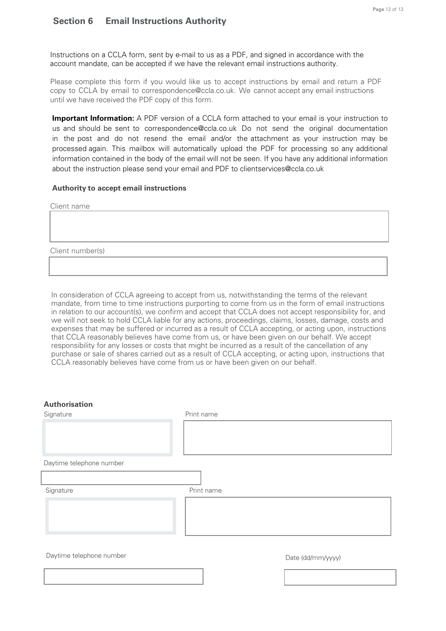## **Section 6 Email Instructions Authority**

Instructions on a CCLA form, sent by e-mail to us as a PDF, and signed in accordance with the account mandate, can be accepted if we have the relevant email instructions authority.

Please complete this form if you would like us to accept instructions by email and return a PDF copy to CCLA by email to correspondence@ccla.co.uk. We cannot accept any email instructions until we have received the PDF copy of this form.

**Important Information:** A PDF version of a CCLA form attached to your email is your instruction to us and should be sent to correspondence@ccla.co.uk Do not send the original documentation in the post and do not resend the email and/or the attachment as your instruction may be processed again. This mailbox will automatically upload the PDF for processing so any additional information contained in the body of the email will not be seen. If you have any additional information about the instruction please send your email and PDF to clientservices@ccla.co.uk

## **Authority to accept email instructions**

Client name

Client number(s)

In consideration of CCLA agreeing to accept from us, notwithstanding the terms of the relevant mandate, from time to time instructions purporting to come from us in the form of email instructions in relation to our account(s), we confirm and accept that CCLA does not accept responsibility for, and we will not seek to hold CCLA liable for any actions, proceedings, claims, losses, damage, costs and expenses that may be suffered or incurred as a result of CCLA accepting, or acting upon, instructions that CCLA reasonably believes have come from us, or have been given on our behalf. We accept responsibility for any losses or costs that might be incurred as a result of the cancellation of any purchase or sale of shares carried out as a result of CCLA accepting, or acting upon, instructions that CCLA reasonably believes have come from us or have been given on our behalf.

| <b>Authorisation</b><br>Signature | Print name        |  |
|-----------------------------------|-------------------|--|
|                                   |                   |  |
| Daytime telephone number          |                   |  |
|                                   |                   |  |
| Signature                         | Print name        |  |
|                                   |                   |  |
| Daytime telephone number          | Date (dd/mm/yyyy) |  |